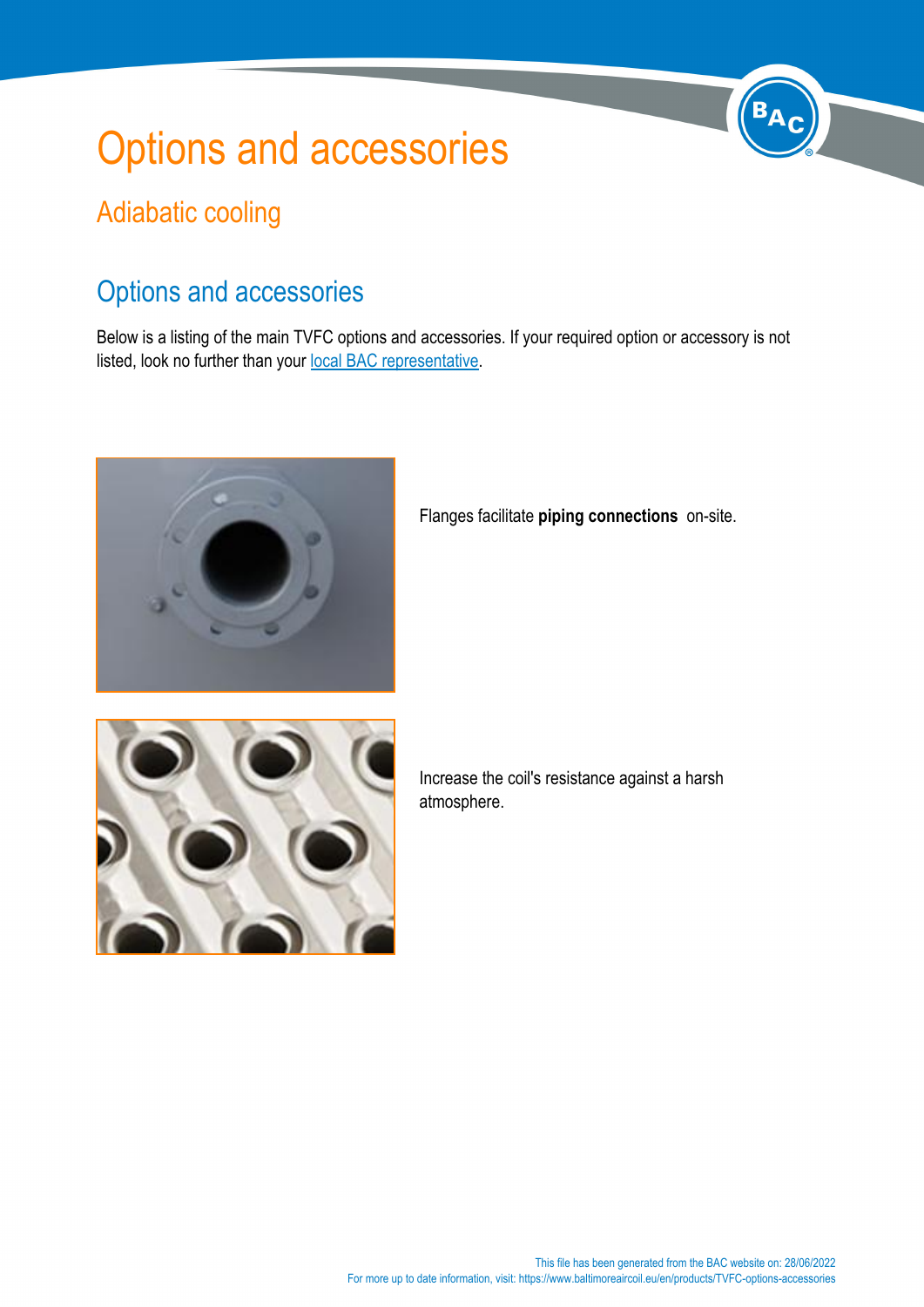## Options and accessories

## Adiabatic cooling

## Options and accessories

Below is a listing of the main TVFC options and accessories. If your required option or accessory is not listed, look no further than your [local BAC representative](https://www.baltimoreaircoil.eu//en/node/316).



Flanges facilitate **piping connections** on-site.



Increase the coil's resistance against a harsh atmosphere.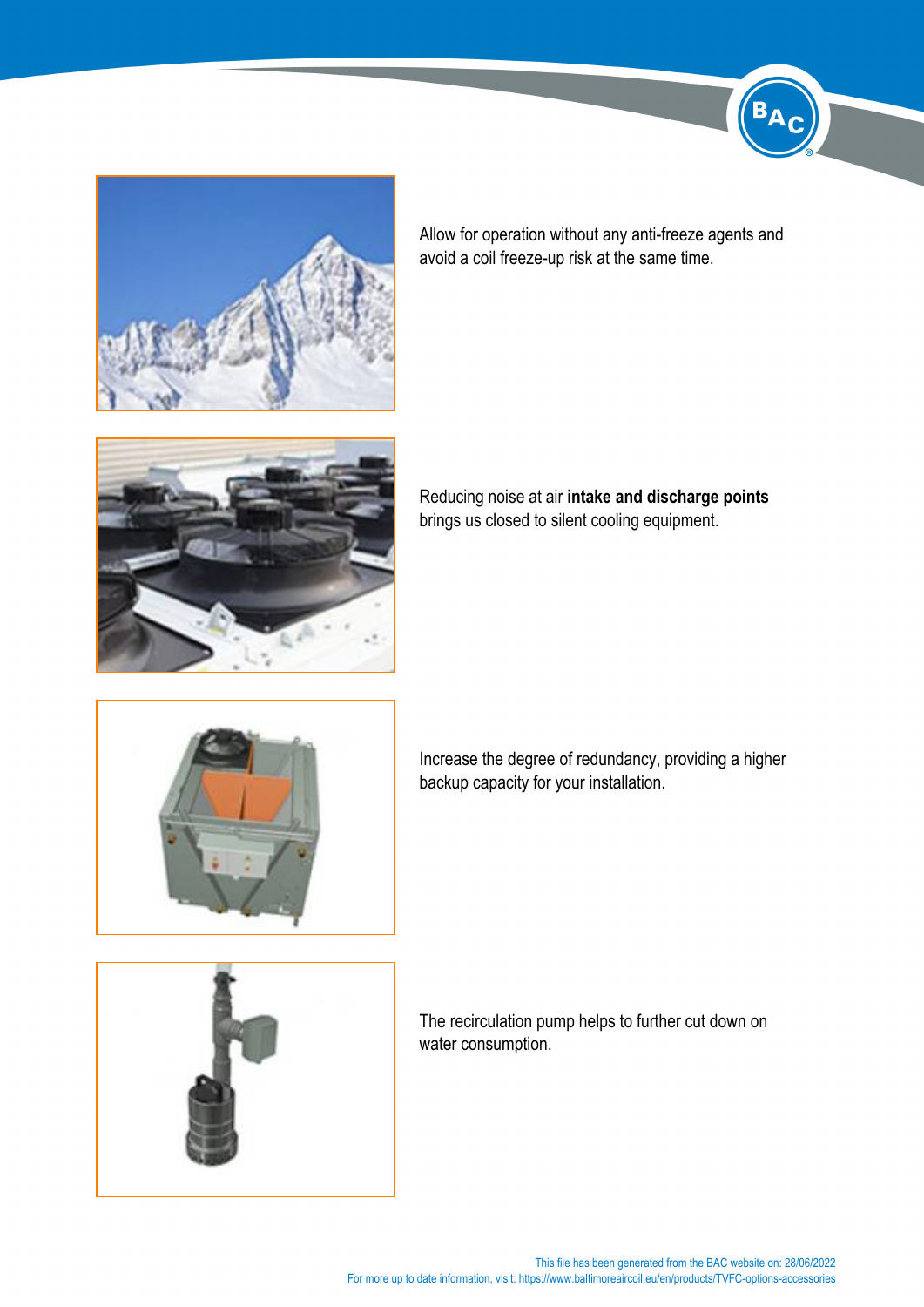

Allow for operation without any anti-freeze agents and avoid a coil freeze-up risk at the same time.



Reducing noise at air **intake and discharge points** brings us closed to silent cooling equipment.







The recirculation pump helps to further cut down on water consumption.